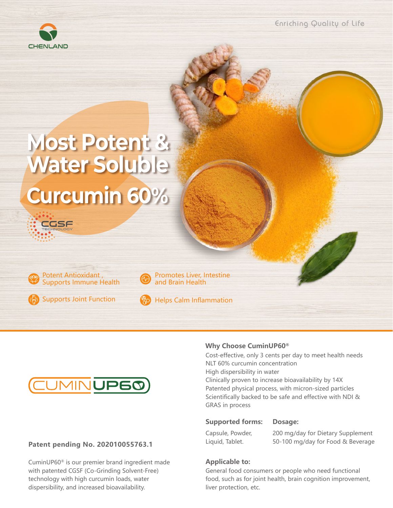

Enriching Quality of Life

# **Most Potent & Water Soluble Curcumin 60%**



CGSF

Supports Joint Function



and Brain Health

Helps Calm Inflammation



#### **Patent pending No. 202010055763.1**

CuminUP60® is our premier brand ingredient made with patented CGSF (Co-Grinding Solvent-Free) technology with high curcumin loads, water dispersibility, and increased bioavailability.

#### **Why Choose CuminUP60®**

Cost-effective, only 3 cents per day to meet health needs NLT 60% curcumin concentration High dispersibility in water Clinically proven to increase bioavailability by 14X Patented physical process, with micron-sized particles Scientifically backed to be safe and effective with NDI & GRAS in process

#### **Supported forms: Dosage:**

Capsule, Powder, Liquid, Tablet.

200 mg/day for Dietary Supplement 50-100 mg/day for Food & Beverage

#### **Applicable to:**

General food consumers or people who need functional food, such as for joint health, brain cognition improvement, liver protection, etc.